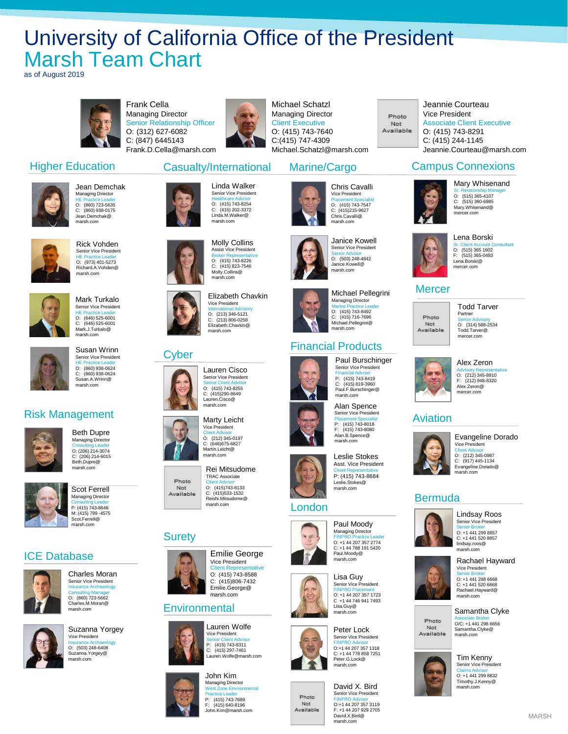## University of California Office of the President Marsh Team Chart

as of August 2019



Jean Demchak Managing Director HE Practice Leader O: (860) 723-5635 C: (860) 938-0175 Jean.Demchak@ marsh.com

Rick Vohden Senior Vice President HE Practice Leader O: (973) 401-5273 Richard.A.Vohden@ marsh.com

Mark Turkalo Senior Vice President HE Practice Leader O: (646) 525-6001 C: (646) 525-6001 Mark.J.Turkalo@ marsh.com

Susan Wrinn Senior Vice President HE Practice Leader O: (860) 938-0624 C: (860) 938-0624 Susan.A.Wrinn@ marsh.com

Higher Education

Risk Management

ICE Database

Beth Dupre Managing Director Consulting Leader O: (206) 214-3074 C: (206) 214-6015 Beth.Dupre@ marsh.com

Scot Ferrell Managing Director Consulting Leader P: (415) 743-8646 M: (415) 799 -4575 Scot.Ferrell@ marsh.com

Charles Moran Senior Vice President Insurance Archaeology Consulting Manager O: (860) 723-5662 Charles.M.Moran@ marsh.com

Suzanna Yorgey Vice President Insurance Archaeology O: (503) 248-6408 Suzanna.Yorgey@ marsh.com

Frank Cella Managing Director Senior Relationship Officer O: (312) 627-6082 C: (847) 6445143 Frank.D.Cella@marsh.com



Linda Walker Senior Vice President Healthcare Advisor O: (415) 743-8254 C: (415) 202-3372 Linda.M.Walker@ marsh.com

Molly Collins Assist Vice President Broker Representative O: (415) 743-8226  $(415) 823 - 7546$ C: (415) 823-7<br>Molly.Collins@ marsh.com

Elizabeth Chavkin Vice President International Advisory O: (213) 346-5121 C: (213) 806-0258 Elizabeth.Chavkin@ marsh.com

Casualty/International

Michael Schatzl Managing Director Client Executive O: (415) 743-7640 C:(415) 747-4309 Michael.Schatzl@marsh.com

Marine/Cargo

Vice President

marsh.com

Janice Kowell Senior Vice President Senior Advisor O: (503) 248-4842 Janice.Kowell@ marsh.com

Michael Pellegrini Managing Director Marine Practice Leader O: (415) 743-8492 C: (415) 716-7696 Michael.Pellegrini@ marsh.com

Paul Burschinger Senior Vice President  $P: (415)$  743-8419 P: (415) 743-8419 C: (415) 819-3960 Paul.F.Burschinger@ marsh.com Alan Spence Senior Vice President Placement Specialist P: (415) 743-8018 F: (415) 743-8080 Alan.B.Spence@ marsh.com

Photo Not Available

Jeannie Courteau Vice President Associate Client Executive O: (415) 743-8291 C: (415) 244-1145 Jeannie.Courteau@marsh.com

#### Campus Connexions



Mary Whisenand Sr. Relationship Manager O: (515) 365-4107 C: (515) 360-6985 Mary.Whisenand@ mercer.com



Lena Borski Sr. Client Account Consultant O: (515) 365 1602

Not Available



Todd Tarver



Alex Zeron Advisory Representative O: (212) 345-8910 F: (212) 948-8320 Alex.Zeron@



Client Advisor O: (212) 345-0987 C: (917) 445-1134 Evangeline.Dorado@ marsh.com

#### Bermuda



Senior Vice President



Senior Broker O: +1 441 298 6668 C: +1 441 520 6668 Rachael.Hayward@ marsh.com



Tim Kenny Senior Vice President Claims Advisor O: +1 441 299 8832





F: (515) 365-0493

#### **Mercer**

## Photo



## mercer.com

## Aviation



Evangeline Dorado Vice President



Senior Broker O: +1 441 299 8857 C: +1 441 520 8857 lindsay.roos@ marsh.com Rachael Hayward

Samantha Clyke Associate Broker O/C: +1 441 298 6656 Samantha.Clyke@ marsh.com



Timothy.J.Kenny@ moar*y.*om<br>narsh.com













Financial Products

Asst. Vice President Client Representative P: (415) 743-8684 Leslie.Stokes@ marsh.com





Senior Vice President FINPRO Placement O: +1 44 207 357 1723 C +1 44 746 941 7493



Photo Not Available









# London



FINPRO Practice Leader O: +1 44 207 357 2774 C: +1 44 788 191 5420





FINPRO Advisor O:+1 44 207 357 3119

Paul Moody Managing Director





marsh.com

marsh.com













MARSH



## Surety









#### **Environmental**





John.Kim@marsh.com